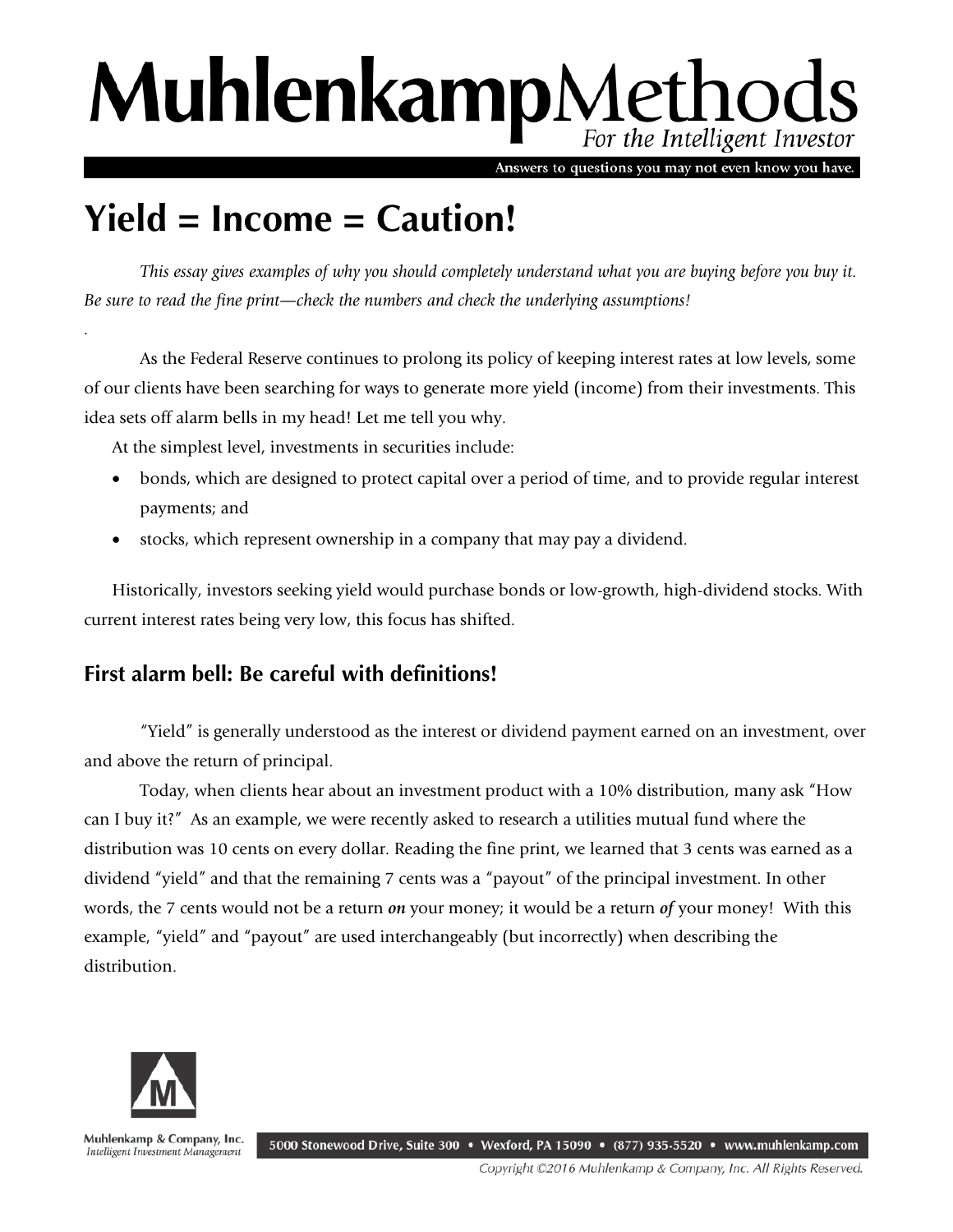# MuhlenkampMethods For the Intelligent Investor

Answers to questions you may not even know you have.

# **Yield = Income = Caution!**

*This essay gives examples of why you should completely understand what you are buying before you buy it. Be sure to read the fine print—check the numbers and check the underlying assumptions!*

As the Federal Reserve continues to prolong its policy of keeping interest rates at low levels, some of our clients have been searching for ways to generate more yield (income) from their investments. This idea sets off alarm bells in my head! Let me tell you why.

At the simplest level, investments in securities include:

- bonds, which are designed to protect capital over a period of time, and to provide regular interest payments; and
- stocks, which represent ownership in a company that may pay a dividend.

Historically, investors seeking yield would purchase bonds or low-growth, high-dividend stocks. With current interest rates being very low, this focus has shifted.

## **First alarm bell: Be careful with definitions!**

"Yield" is generally understood as the interest or dividend payment earned on an investment, over and above the return of principal.

Today, when clients hear about an investment product with a 10% distribution, many ask "How can I buy it?" As an example, we were recently asked to research a utilities mutual fund where the distribution was 10 cents on every dollar. Reading the fine print, we learned that 3 cents was earned as a dividend "yield" and that the remaining 7 cents was a "payout" of the principal investment. In other words, the 7 cents would not be a return *on* your money; it would be a return *of* your money! With this example, "yield" and "payout" are used interchangeably (but incorrectly) when describing the distribution.



*.* 

Muhlenkamp & Company, Inc. Intelligent Investment Management

5000 Stonewood Drive, Suite 300 • Wexford, PA 15090 • (877) 935-5520 • www.muhlenkamp.com

Copyright ©2016 Muhlenkamp & Company, Inc. All Rights Reserved.